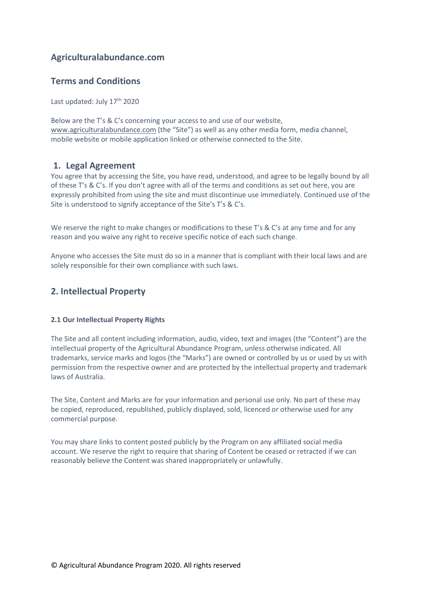# Agriculturalabundance.com

# Terms and Conditions

Last updated: July 17<sup>th</sup> 2020

Below are the T's & C's concerning your access to and use of our website, www.agriculturalabundance.com (the "Site") as well as any other media form, media channel, mobile website or mobile application linked or otherwise connected to the Site.

### 1. Legal Agreement

You agree that by accessing the Site, you have read, understood, and agree to be legally bound by all of these T's & C's. If you don't agree with all of the terms and conditions as set out here, you are expressly prohibited from using the site and must discontinue use immediately. Continued use of the Site is understood to signify acceptance of the Site's T's & C's.

We reserve the right to make changes or modifications to these T's & C's at any time and for any reason and you waive any right to receive specific notice of each such change.

Anyone who accesses the Site must do so in a manner that is compliant with their local laws and are solely responsible for their own compliance with such laws.

### 2. Intellectual Property

### 2.1 Our Intellectual Property Rights

The Site and all content including information, audio, video, text and images (the "Content") are the intellectual property of the Agricultural Abundance Program, unless otherwise indicated. All trademarks, service marks and logos (the "Marks") are owned or controlled by us or used by us with permission from the respective owner and are protected by the intellectual property and trademark laws of Australia.

The Site, Content and Marks are for your information and personal use only. No part of these may be copied, reproduced, republished, publicly displayed, sold, licenced or otherwise used for any commercial purpose.

You may share links to content posted publicly by the Program on any affiliated social media account. We reserve the right to require that sharing of Content be ceased or retracted if we can reasonably believe the Content was shared inappropriately or unlawfully.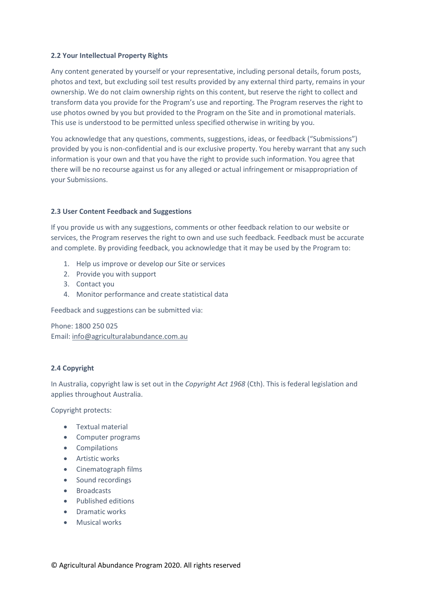#### 2.2 Your Intellectual Property Rights

Any content generated by yourself or your representative, including personal details, forum posts, photos and text, but excluding soil test results provided by any external third party, remains in your ownership. We do not claim ownership rights on this content, but reserve the right to collect and transform data you provide for the Program's use and reporting. The Program reserves the right to use photos owned by you but provided to the Program on the Site and in promotional materials. This use is understood to be permitted unless specified otherwise in writing by you.

You acknowledge that any questions, comments, suggestions, ideas, or feedback ("Submissions") provided by you is non-confidential and is our exclusive property. You hereby warrant that any such information is your own and that you have the right to provide such information. You agree that there will be no recourse against us for any alleged or actual infringement or misappropriation of your Submissions.

#### 2.3 User Content Feedback and Suggestions

If you provide us with any suggestions, comments or other feedback relation to our website or services, the Program reserves the right to own and use such feedback. Feedback must be accurate and complete. By providing feedback, you acknowledge that it may be used by the Program to:

- 1. Help us improve or develop our Site or services
- 2. Provide you with support
- 3. Contact you
- 4. Monitor performance and create statistical data

Feedback and suggestions can be submitted via:

Phone: 1800 250 025 Email: info@agriculturalabundance.com.au

#### 2.4 Copyright

In Australia, copyright law is set out in the *Copyright Act 1968* (Cth). This is federal legislation and applies throughout Australia.

Copyright protects:

- Textual material
- Computer programs
- Compilations
- **•** Artistic works
- Cinematograph films
- Sound recordings
- Broadcasts
- Published editions
- Dramatic works
- Musical works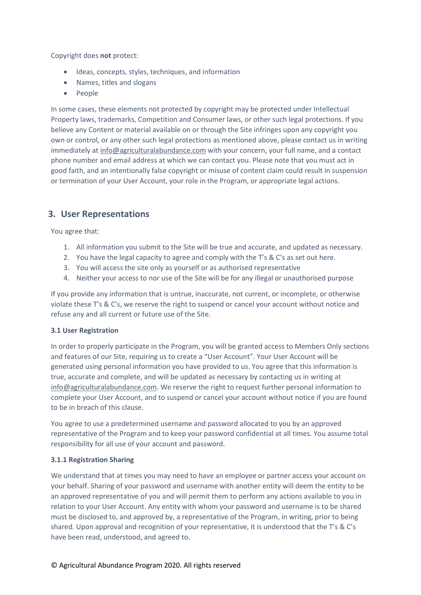Copyright does not protect:

- Ideas, concepts, styles, techniques, and information
- Names, titles and slogans
- People

In some cases, these elements not protected by copyright may be protected under Intellectual Property laws, trademarks, Competition and Consumer laws, or other such legal protections. If you believe any Content or material available on or through the Site infringes upon any copyright you own or control, or any other such legal protections as mentioned above, please contact us in writing immediately at info@agriculturalabundance.com with your concern, your full name, and a contact phone number and email address at which we can contact you. Please note that you must act in good faith, and an intentionally false copyright or misuse of content claim could result in suspension or termination of your User Account, your role in the Program, or appropriate legal actions.

# 3. User Representations

You agree that:

- 1. All information you submit to the Site will be true and accurate, and updated as necessary.
- 2. You have the legal capacity to agree and comply with the T's & C's as set out here.
- 3. You will access the site only as yourself or as authorised representative
- 4. Neither your access to nor use of the Site will be for any illegal or unauthorised purpose

If you provide any information that is untrue, inaccurate, not current, or incomplete, or otherwise violate these T's & C's, we reserve the right to suspend or cancel your account without notice and refuse any and all current or future use of the Site.

### 3.1 User Registration

In order to properly participate in the Program, you will be granted access to Members Only sections and features of our Site, requiring us to create a "User Account". Your User Account will be generated using personal information you have provided to us. You agree that this information is true, accurate and complete, and will be updated as necessary by contacting us in writing at info@agriculturalabundance.com. We reserve the right to request further personal information to complete your User Account, and to suspend or cancel your account without notice if you are found to be in breach of this clause.

You agree to use a predetermined username and password allocated to you by an approved representative of the Program and to keep your password confidential at all times. You assume total responsibility for all use of your account and password.

### 3.1.1 Registration Sharing

We understand that at times you may need to have an employee or partner access your account on your behalf. Sharing of your password and username with another entity will deem the entity to be an approved representative of you and will permit them to perform any actions available to you in relation to your User Account. Any entity with whom your password and username is to be shared must be disclosed to, and approved by, a representative of the Program, in writing, prior to being shared. Upon approval and recognition of your representative, it is understood that the T's & C's have been read, understood, and agreed to.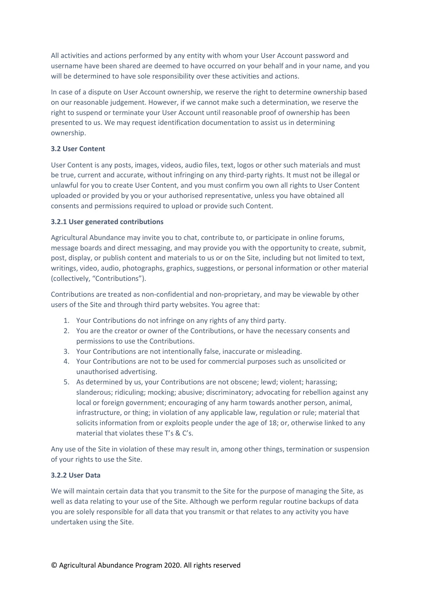All activities and actions performed by any entity with whom your User Account password and username have been shared are deemed to have occurred on your behalf and in your name, and you will be determined to have sole responsibility over these activities and actions.

In case of a dispute on User Account ownership, we reserve the right to determine ownership based on our reasonable judgement. However, if we cannot make such a determination, we reserve the right to suspend or terminate your User Account until reasonable proof of ownership has been presented to us. We may request identification documentation to assist us in determining ownership.

### 3.2 User Content

User Content is any posts, images, videos, audio files, text, logos or other such materials and must be true, current and accurate, without infringing on any third-party rights. It must not be illegal or unlawful for you to create User Content, and you must confirm you own all rights to User Content uploaded or provided by you or your authorised representative, unless you have obtained all consents and permissions required to upload or provide such Content.

#### 3.2.1 User generated contributions

Agricultural Abundance may invite you to chat, contribute to, or participate in online forums, message boards and direct messaging, and may provide you with the opportunity to create, submit, post, display, or publish content and materials to us or on the Site, including but not limited to text, writings, video, audio, photographs, graphics, suggestions, or personal information or other material (collectively, "Contributions").

Contributions are treated as non-confidential and non-proprietary, and may be viewable by other users of the Site and through third party websites. You agree that:

- 1. Your Contributions do not infringe on any rights of any third party.
- 2. You are the creator or owner of the Contributions, or have the necessary consents and permissions to use the Contributions.
- 3. Your Contributions are not intentionally false, inaccurate or misleading.
- 4. Your Contributions are not to be used for commercial purposes such as unsolicited or unauthorised advertising.
- 5. As determined by us, your Contributions are not obscene; lewd; violent; harassing; slanderous; ridiculing; mocking; abusive; discriminatory; advocating for rebellion against any local or foreign government; encouraging of any harm towards another person, animal, infrastructure, or thing; in violation of any applicable law, regulation or rule; material that solicits information from or exploits people under the age of 18; or, otherwise linked to any material that violates these T's & C's.

Any use of the Site in violation of these may result in, among other things, termination or suspension of your rights to use the Site.

### 3.2.2 User Data

We will maintain certain data that you transmit to the Site for the purpose of managing the Site, as well as data relating to your use of the Site. Although we perform regular routine backups of data you are solely responsible for all data that you transmit or that relates to any activity you have undertaken using the Site.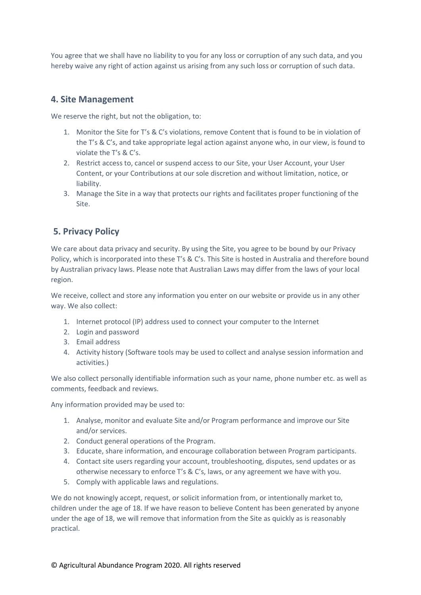You agree that we shall have no liability to you for any loss or corruption of any such data, and you hereby waive any right of action against us arising from any such loss or corruption of such data.

### 4. Site Management

We reserve the right, but not the obligation, to:

- 1. Monitor the Site for T's & C's violations, remove Content that is found to be in violation of the T's & C's, and take appropriate legal action against anyone who, in our view, is found to violate the T's & C's.
- 2. Restrict access to, cancel or suspend access to our Site, your User Account, your User Content, or your Contributions at our sole discretion and without limitation, notice, or liability.
- 3. Manage the Site in a way that protects our rights and facilitates proper functioning of the Site.

# 5. Privacy Policy

We care about data privacy and security. By using the Site, you agree to be bound by our Privacy Policy, which is incorporated into these T's & C's. This Site is hosted in Australia and therefore bound by Australian privacy laws. Please note that Australian Laws may differ from the laws of your local region.

We receive, collect and store any information you enter on our website or provide us in any other way. We also collect:

- 1. Internet protocol (IP) address used to connect your computer to the Internet
- 2. Login and password
- 3. Email address
- 4. Activity history (Software tools may be used to collect and analyse session information and activities.)

We also collect personally identifiable information such as your name, phone number etc. as well as comments, feedback and reviews.

Any information provided may be used to:

- 1. Analyse, monitor and evaluate Site and/or Program performance and improve our Site and/or services.
- 2. Conduct general operations of the Program.
- 3. Educate, share information, and encourage collaboration between Program participants.
- 4. Contact site users regarding your account, troubleshooting, disputes, send updates or as otherwise necessary to enforce T's & C's, laws, or any agreement we have with you.
- 5. Comply with applicable laws and regulations.

We do not knowingly accept, request, or solicit information from, or intentionally market to, children under the age of 18. If we have reason to believe Content has been generated by anyone under the age of 18, we will remove that information from the Site as quickly as is reasonably practical.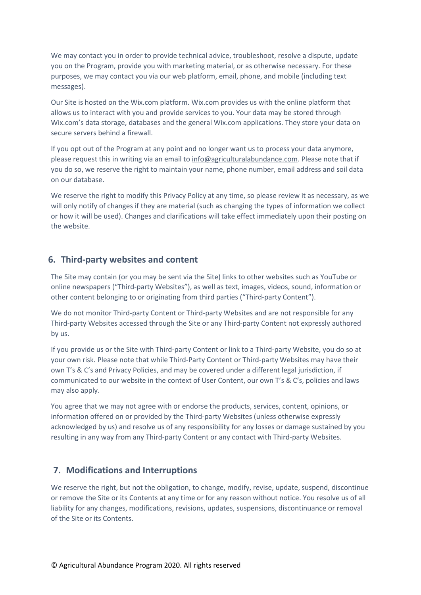We may contact you in order to provide technical advice, troubleshoot, resolve a dispute, update you on the Program, provide you with marketing material, or as otherwise necessary. For these purposes, we may contact you via our web platform, email, phone, and mobile (including text messages).

Our Site is hosted on the Wix.com platform. Wix.com provides us with the online platform that allows us to interact with you and provide services to you. Your data may be stored through Wix.com's data storage, databases and the general Wix.com applications. They store your data on secure servers behind a firewall.

If you opt out of the Program at any point and no longer want us to process your data anymore, please request this in writing via an email to info@agriculturalabundance.com. Please note that if you do so, we reserve the right to maintain your name, phone number, email address and soil data on our database.

We reserve the right to modify this Privacy Policy at any time, so please review it as necessary, as we will only notify of changes if they are material (such as changing the types of information we collect or how it will be used). Changes and clarifications will take effect immediately upon their posting on the website.

### 6. Third-party websites and content

The Site may contain (or you may be sent via the Site) links to other websites such as YouTube or online newspapers ("Third-party Websites"), as well as text, images, videos, sound, information or other content belonging to or originating from third parties ("Third-party Content").

We do not monitor Third-party Content or Third-party Websites and are not responsible for any Third-party Websites accessed through the Site or any Third-party Content not expressly authored by us.

If you provide us or the Site with Third-party Content or link to a Third-party Website, you do so at your own risk. Please note that while Third-Party Content or Third-party Websites may have their own T's & C's and Privacy Policies, and may be covered under a different legal jurisdiction, if communicated to our website in the context of User Content, our own T's & C's, policies and laws may also apply.

You agree that we may not agree with or endorse the products, services, content, opinions, or information offered on or provided by the Third-party Websites (unless otherwise expressly acknowledged by us) and resolve us of any responsibility for any losses or damage sustained by you resulting in any way from any Third-party Content or any contact with Third-party Websites.

# 7. Modifications and Interruptions

We reserve the right, but not the obligation, to change, modify, revise, update, suspend, discontinue or remove the Site or its Contents at any time or for any reason without notice. You resolve us of all liability for any changes, modifications, revisions, updates, suspensions, discontinuance or removal of the Site or its Contents.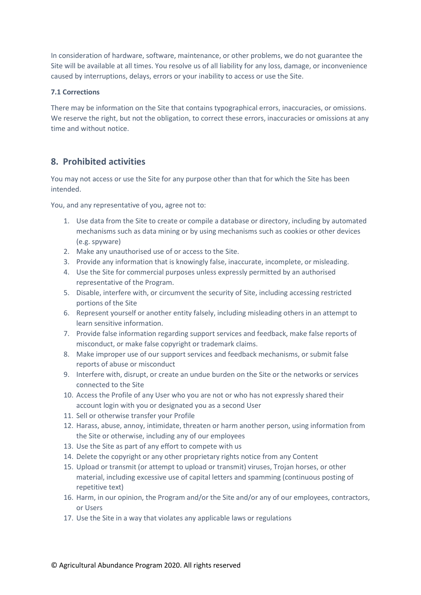In consideration of hardware, software, maintenance, or other problems, we do not guarantee the Site will be available at all times. You resolve us of all liability for any loss, damage, or inconvenience caused by interruptions, delays, errors or your inability to access or use the Site.

#### 7.1 Corrections

There may be information on the Site that contains typographical errors, inaccuracies, or omissions. We reserve the right, but not the obligation, to correct these errors, inaccuracies or omissions at any time and without notice.

# 8. Prohibited activities

You may not access or use the Site for any purpose other than that for which the Site has been intended.

You, and any representative of you, agree not to:

- 1. Use data from the Site to create or compile a database or directory, including by automated mechanisms such as data mining or by using mechanisms such as cookies or other devices (e.g. spyware)
- 2. Make any unauthorised use of or access to the Site.
- 3. Provide any information that is knowingly false, inaccurate, incomplete, or misleading.
- 4. Use the Site for commercial purposes unless expressly permitted by an authorised representative of the Program.
- 5. Disable, interfere with, or circumvent the security of Site, including accessing restricted portions of the Site
- 6. Represent yourself or another entity falsely, including misleading others in an attempt to learn sensitive information.
- 7. Provide false information regarding support services and feedback, make false reports of misconduct, or make false copyright or trademark claims.
- 8. Make improper use of our support services and feedback mechanisms, or submit false reports of abuse or misconduct
- 9. Interfere with, disrupt, or create an undue burden on the Site or the networks or services connected to the Site
- 10. Access the Profile of any User who you are not or who has not expressly shared their account login with you or designated you as a second User
- 11. Sell or otherwise transfer your Profile
- 12. Harass, abuse, annoy, intimidate, threaten or harm another person, using information from the Site or otherwise, including any of our employees
- 13. Use the Site as part of any effort to compete with us
- 14. Delete the copyright or any other proprietary rights notice from any Content
- 15. Upload or transmit (or attempt to upload or transmit) viruses, Trojan horses, or other material, including excessive use of capital letters and spamming (continuous posting of repetitive text)
- 16. Harm, in our opinion, the Program and/or the Site and/or any of our employees, contractors, or Users
- 17. Use the Site in a way that violates any applicable laws or regulations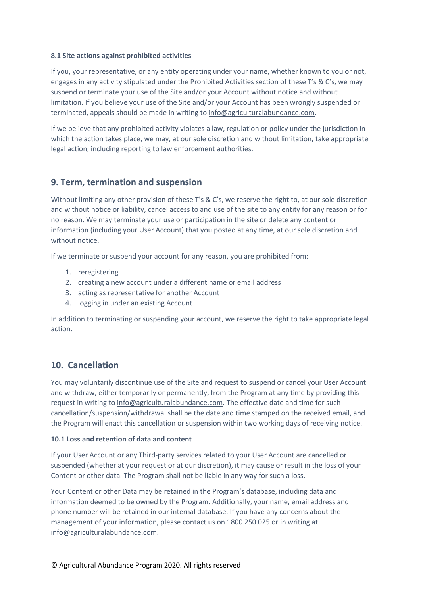#### 8.1 Site actions against prohibited activities

If you, your representative, or any entity operating under your name, whether known to you or not, engages in any activity stipulated under the Prohibited Activities section of these T's & C's, we may suspend or terminate your use of the Site and/or your Account without notice and without limitation. If you believe your use of the Site and/or your Account has been wrongly suspended or terminated, appeals should be made in writing to info@agriculturalabundance.com.

If we believe that any prohibited activity violates a law, regulation or policy under the jurisdiction in which the action takes place, we may, at our sole discretion and without limitation, take appropriate legal action, including reporting to law enforcement authorities.

### 9. Term, termination and suspension

Without limiting any other provision of these T's & C's, we reserve the right to, at our sole discretion and without notice or liability, cancel access to and use of the site to any entity for any reason or for no reason. We may terminate your use or participation in the site or delete any content or information (including your User Account) that you posted at any time, at our sole discretion and without notice.

If we terminate or suspend your account for any reason, you are prohibited from:

- 1. reregistering
- 2. creating a new account under a different name or email address
- 3. acting as representative for another Account
- 4. logging in under an existing Account

In addition to terminating or suspending your account, we reserve the right to take appropriate legal action.

### 10. Cancellation

You may voluntarily discontinue use of the Site and request to suspend or cancel your User Account and withdraw, either temporarily or permanently, from the Program at any time by providing this request in writing to info@agriculturalabundance.com. The effective date and time for such cancellation/suspension/withdrawal shall be the date and time stamped on the received email, and the Program will enact this cancellation or suspension within two working days of receiving notice.

#### 10.1 Loss and retention of data and content

If your User Account or any Third-party services related to your User Account are cancelled or suspended (whether at your request or at our discretion), it may cause or result in the loss of your Content or other data. The Program shall not be liable in any way for such a loss.

Your Content or other Data may be retained in the Program's database, including data and information deemed to be owned by the Program. Additionally, your name, email address and phone number will be retained in our internal database. If you have any concerns about the management of your information, please contact us on 1800 250 025 or in writing at info@agriculturalabundance.com.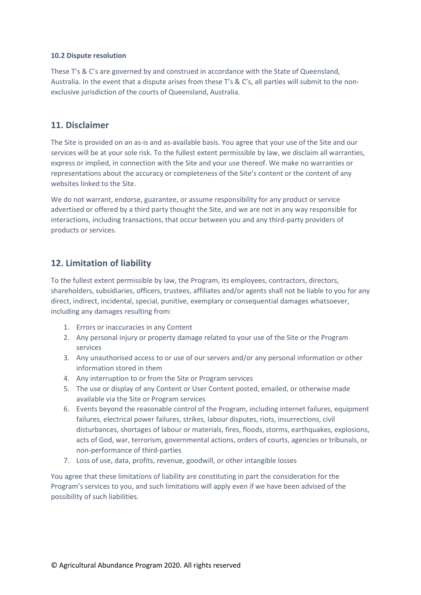#### 10.2 Dispute resolution

These T's & C's are governed by and construed in accordance with the State of Queensland, Australia. In the event that a dispute arises from these T's & C's, all parties will submit to the nonexclusive jurisdiction of the courts of Queensland, Australia.

### 11. Disclaimer

The Site is provided on an as-is and as-available basis. You agree that your use of the Site and our services will be at your sole risk. To the fullest extent permissible by law, we disclaim all warranties, express or implied, in connection with the Site and your use thereof. We make no warranties or representations about the accuracy or completeness of the Site's content or the content of any websites linked to the Site.

We do not warrant, endorse, guarantee, or assume responsibility for any product or service advertised or offered by a third party thought the Site, and we are not in any way responsible for interactions, including transactions, that occur between you and any third-party providers of products or services.

### 12. Limitation of liability

To the fullest extent permissible by law, the Program, its employees, contractors, directors, shareholders, subsidiaries, officers, trustees, affiliates and/or agents shall not be liable to you for any direct, indirect, incidental, special, punitive, exemplary or consequential damages whatsoever, including any damages resulting from:

- 1. Errors or inaccuracies in any Content
- 2. Any personal injury or property damage related to your use of the Site or the Program services
- 3. Any unauthorised access to or use of our servers and/or any personal information or other information stored in them
- 4. Any interruption to or from the Site or Program services
- 5. The use or display of any Content or User Content posted, emailed, or otherwise made available via the Site or Program services
- 6. Events beyond the reasonable control of the Program, including internet failures, equipment failures, electrical power failures, strikes, labour disputes, riots, insurrections, civil disturbances, shortages of labour or materials, fires, floods, storms, earthquakes, explosions, acts of God, war, terrorism, governmental actions, orders of courts, agencies or tribunals, or non-performance of third-parties
- 7. Loss of use, data, profits, revenue, goodwill, or other intangible losses

You agree that these limitations of liability are constituting in part the consideration for the Program's services to you, and such limitations will apply even if we have been advised of the possibility of such liabilities.